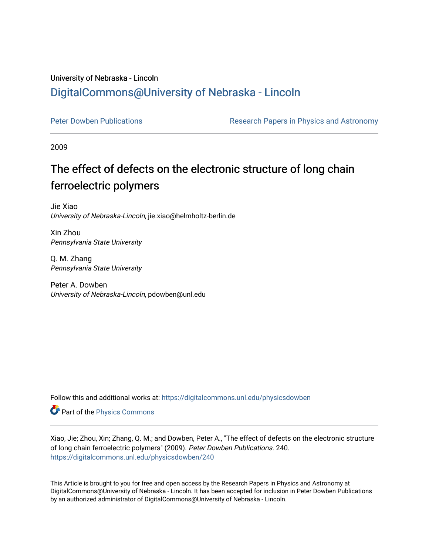## University of Nebraska - Lincoln [DigitalCommons@University of Nebraska - Lincoln](https://digitalcommons.unl.edu/)

[Peter Dowben Publications](https://digitalcommons.unl.edu/physicsdowben) **Research Papers in Physics and Astronomy** 

2009

## The effect of defects on the electronic structure of long chain ferroelectric polymers

Jie Xiao University of Nebraska-Lincoln, jie.xiao@helmholtz-berlin.de

Xin Zhou Pennsylvania State University

Q. M. Zhang Pennsylvania State University

Peter A. Dowben University of Nebraska-Lincoln, pdowben@unl.edu

Follow this and additional works at: [https://digitalcommons.unl.edu/physicsdowben](https://digitalcommons.unl.edu/physicsdowben?utm_source=digitalcommons.unl.edu%2Fphysicsdowben%2F240&utm_medium=PDF&utm_campaign=PDFCoverPages) 

Part of the [Physics Commons](http://network.bepress.com/hgg/discipline/193?utm_source=digitalcommons.unl.edu%2Fphysicsdowben%2F240&utm_medium=PDF&utm_campaign=PDFCoverPages)

Xiao, Jie; Zhou, Xin; Zhang, Q. M.; and Dowben, Peter A., "The effect of defects on the electronic structure of long chain ferroelectric polymers" (2009). Peter Dowben Publications. 240. [https://digitalcommons.unl.edu/physicsdowben/240](https://digitalcommons.unl.edu/physicsdowben/240?utm_source=digitalcommons.unl.edu%2Fphysicsdowben%2F240&utm_medium=PDF&utm_campaign=PDFCoverPages) 

This Article is brought to you for free and open access by the Research Papers in Physics and Astronomy at DigitalCommons@University of Nebraska - Lincoln. It has been accepted for inclusion in Peter Dowben Publications by an authorized administrator of DigitalCommons@University of Nebraska - Lincoln.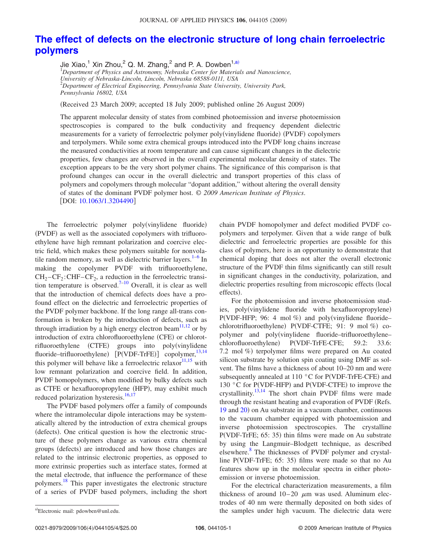## **[The effect of defects on the electronic structure of long chain ferroelectric](http://dx.doi.org/10.1063/1.3204490) [polymers](http://dx.doi.org/10.1063/1.3204490)**

Jie Xiao,<sup>1</sup> Xin Zhou,<sup>2</sup> Q. M. Zhang,<sup>2</sup> and P. A. Dowben<sup>1[,a](#page-1-0))</sup><br><sup>1</sup>Department of Physics and Astronomy, Nebraska Center for Materials and Nanoscience, *University of Nebraska-Lincoln, Lincoln, Nebraska 68588-0111, USA* 2 *Department of Electrical Engineering, Pennsylvania State University, University Park, Pennsylvania 16802, USA*

(Received 23 March 2009; accepted 18 July 2009; published online 26 August 2009)

The apparent molecular density of states from combined photoemission and inverse photoemission spectroscopies is compared to the bulk conductivity and frequency dependent dielectric measurements for a variety of ferroelectric polymer poly(vinylidene fluoride) (PVDF) copolymers and terpolymers. While some extra chemical groups introduced into the PVDF long chains increase the measured conductivities at room temperature and can cause significant changes in the dielectric properties, few changes are observed in the overall experimental molecular density of states. The exception appears to be the very short polymer chains. The significance of this comparison is that profound changes can occur in the overall dielectric and transport properties of this class of polymers and copolymers through molecular "dopant addition," without altering the overall density of states of the dominant PVDF polymer host. © *2009 American Institute of Physics*. [DOI: [10.1063/1.3204490](http://dx.doi.org/10.1063/1.3204490)]

The ferroelectric polymer poly(vinylidene fluoride) (PVDF) as well as the associated copolymers with trifluoroethylene have high remnant polarization and coercive electric field, which makes these polymers suitable for nonvolatile random memory, as well as dielectric barrier layers. $1-6$  $1-6$  In making the copolymer PVDF with trifluoroethylene,  $CH_2-CF_2$ : CHF–CF<sub>2</sub>, a reduction in the ferroelectric transi-tion temperature is observed.<sup>7–[10](#page-4-2)</sup> Overall, it is clear as well that the introduction of chemical defects does have a profound effect on the dielectric and ferroelectric properties of the PVDF polymer backbone. If the long range all-trans conformation is broken by the introduction of defects, such as through irradiation by a high energy electron beam<sup>11[,12](#page-4-4)</sup> or by introduction of extra chlorofluoroethylene (CFE) or chlorotrifluoroethylene (CTFE) groups into poly(vinylidene fluoride–trifluoroethylene) [P(VDF-TrFE)] copolymer,<sup>13,[14](#page-4-6)</sup> this polymer will behave like a ferroelectric relaxor $11,15$  $11,15$  with low remnant polarization and coercive field. In addition, PVDF homopolymers, when modified by bulky defects such as CTFE or hexafluoropropylene (HFP), may exhibit much reduced polarization hysteresis.<sup>16,[17](#page-4-9)</sup>

The PVDF based polymers offer a family of compounds where the intramolecular dipole interactions may be systematically altered by the introduction of extra chemical groups (defects). One critical question is how the electronic structure of these polymers change as various extra chemical groups (defects) are introduced and how those changes are related to the intrinsic electronic properties, as opposed to more extrinsic properties such as interface states, formed at the metal electrode, that influence the performance of these polymers.<sup>[18](#page-4-10)</sup> This paper investigates the electronic structure of a series of PVDF based polymers, including the short

chain PVDF homopolymer and defect modified PVDF copolymers and terpolymer. Given that a wide range of bulk dielectric and ferroelectric properties are possible for this class of polymers, here is an opportunity to demonstrate that chemical doping that does not alter the overall electronic structure of the PVDF thin films significantly can still result in significant changes in the conductivity, polarization, and dielectric properties resulting from microscopic effects (local effects).

For the photoemission and inverse photoemission studies, poly(vinylidene fluoride with hexafluoropropylene) P(VDF-HFP; 96: 4 mol %) and poly(vinylidene fluoride– chlorotrifluoroethylene) P(VDF-CTFE; 91: 9 mol %) copolymer and poly(vinylidene fluoride–trifluoroethylene– chlorofluoroethylene) P(VDF-TrFE-CFE; 59.2: 33.6: 7.2 mol %) terpolymer films were prepared on Au coated silicon substrate by solution spin coating using DMF as solvent. The films have a thickness of about 10–20 nm and were subsequently annealed at 110  $^{\circ}$ C for P(VDF-TrFE-CFE) and 130 °C for P(VDF-HFP) and P(VDF-CTFE) to improve the crystallinity.<sup>13,[14](#page-4-6)</sup> The short chain PVDF films were made through the resistant heating and evaporation of PVDF (Refs. [19](#page-4-11) and [20](#page-4-12)) on Au substrate in a vacuum chamber, continuous to the vacuum chamber equipped with photoemission and inverse photoemission spectroscopies. The crystalline P(VDF-TrFE; 65: 35) thin films were made on Au substrate by using the Langmuir–Blodgett technique, as described elsewhere.<sup>[8](#page-4-13)</sup> The thicknesses of PVDF polymer and crystalline P(VDF-TrFE; 65: 35) films were made so that no Au features show up in the molecular spectra in either photoemission or inverse photoemission.

For the electrical characterization measurements, a film thickness of around  $10-20$   $\mu$ m was used. Aluminum electrodes of 40 nm were thermally deposited on both sides of the samples under high vacuum. The dielectric data were

<span id="page-1-0"></span>Electronic mail: pdowben@unl.edu.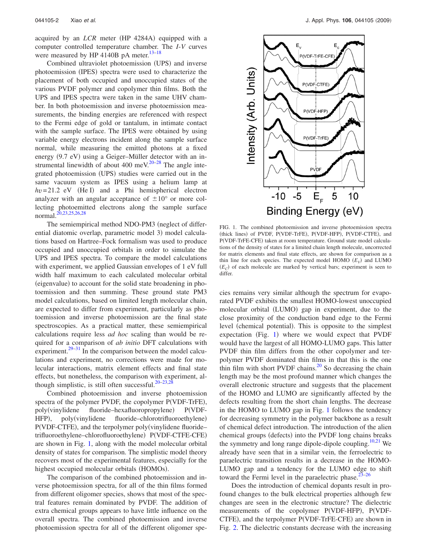acquired by an *LCR* meter (HP 4284A) equipped with a computer controlled temperature chamber. The *I*-*V* curves were measured by HP 4140B pA meter.<sup>13-18</sup>

Combined ultraviolet photoemission (UPS) and inverse photoemission (IPES) spectra were used to characterize the placement of both occupied and unoccupied states of the various PVDF polymer and copolymer thin films. Both the UPS and IPES spectra were taken in the same UHV chamber. In both photoemission and inverse photoemission measurements, the binding energies are referenced with respect to the Fermi edge of gold or tantalum, in intimate contact with the sample surface. The IPES were obtained by using variable energy electrons incident along the sample surface normal, while measuring the emitted photons at a fixed energy (9.7 eV) using a Geiger-Müller detector with an in-strumental linewidth of about 400 meV.<sup>20–[28](#page-4-14)</sup> The angle integrated photoemission (UPS) studies were carried out in the same vacuum system as IPES using a helium lamp at  $hv = 21.2$  eV (He I) and a Phi hemispherical electron analyzer with an angular acceptance of  $\pm 10^{\circ}$  or more collecting photoemitted electrons along the sample surface normal.[20,](#page-4-12)[23,](#page-4-15)[25](#page-4-16)[,26,](#page-4-17)[28](#page-4-14)

The semiempirical method NDO-PM3 (neglect of differential diatomic overlap, parametric model 3) model calculations based on Hartree–Fock formalism was used to produce occupied and unoccupied orbitals in order to simulate the UPS and IPES spectra. To compare the model calculations with experiment, we applied Gaussian envelopes of 1 eV full width half maximum to each calculated molecular orbital (eigenvalue) to account for the solid state broadening in photoemission and then summing. These ground state PM3 model calculations, based on limited length molecular chain, are expected to differ from experiment, particularly as photoemission and inverse photoemission are the final state spectroscopies. As a practical matter, these semiempirical calculations require less *ad hoc* scaling than would be required for a comparison of *ab initio* DFT calculations with experiment. $29-31$  In the comparison between the model calculations and experiment, no corrections were made for molecular interactions, matrix element effects and final state effects, but nonetheless, the comparison with experiment, al-though simplistic, is still often successful.<sup>20[–23,](#page-4-15)[28](#page-4-14)</sup>

Combined photoemission and inverse photoemission spectra of the polymer PVDF, the copolymer P(VDF-TrFE), poly(vinylidene fluoride–hexafluoropropylene)  $P(VDF HFP$ ), , poly(vinylidene fluoride-chlorotrifluoroethylene) P(VDF-CTFE), and the terpolymer poly(vinylidene fluoridetrifluoroethylene-chlorofluoroethylene) P(VDF-CTFE-CFE) are shown in Fig. [1,](#page-2-0) along with the model molecular orbital density of states for comparison. The simplistic model theory recovers most of the experimental features, especially for the highest occupied molecular orbitals (HOMOs).

The comparison of the combined photoemission and inverse photoemission spectra, for all of the thin films formed from different oligomer species, shows that most of the spectral features remain dominated by PVDF. The addition of extra chemical groups appears to have little influence on the overall spectra. The combined photoemission and inverse photoemission spectra for all of the different oligomer spe-

<span id="page-2-0"></span>

FIG. 1. The combined photoemission and inverse photoemission spectra (thick lines) of PVDF, P(VDF-TrFE), P(VDF-HFP), P(VDF-CTFE), and P(VDF-TrFE-CFE) taken at room temperature. Ground state model calculations of the density of states for a limited chain length molecule, uncorrected for matrix elements and final state effects, are shown for comparison as a thin line for each species. The expected model  $HOMO$   $(E_V)$  and  $LUMO$  $(E_C)$  of each molecule are marked by vertical bars; experiment is seen to differ.

cies remains very similar although the spectrum for evaporated PVDF exhibits the smallest HOMO-lowest unoccupied molecular orbital (LUMO) gap in experiment, due to the close proximity of the conduction band edge to the Fermi level (chemical potential). This is opposite to the simplest expectation (Fig. [1](#page-2-0)) where we would expect that PVDF would have the largest of all HOMO-LUMO gaps. This latter PVDF thin film differs from the other copolymer and terpolymer PVDF dominated thin films in that this is the one thin film with short PVDF chains.<sup>20</sup> So decreasing the chain length may be the most profound manner which changes the overall electronic structure and suggests that the placement of the HOMO and LUMO are significantly affected by the defects resulting from the short chain lengths. The decrease in the HOMO to LUMO gap in Fig. [1](#page-2-0) follows the tendency for decreasing symmetry in the polymer backbone as a result of chemical defect introduction. The introduction of the alien chemical groups (defects) into the PVDF long chains breaks the symmetry and long range dipole-dipole coupling.<sup>10[,21](#page-4-20)</sup> We already have seen that in a similar vein, the ferroelectric to paraelectric transition results in a decrease in the HOMO-LUMO gap and a tendency for the LUMO edge to shift toward the Fermi level in the paraelectric phase. $2^{3-26}$  $2^{3-26}$  $2^{3-26}$ 

Does the introduction of chemical dopants result in profound changes to the bulk electrical properties although few changes are seen in the electronic structure? The dielectric measurements of the copolymer P(VDF-HFP), P(VDF-CTFE), and the terpolymer P(VDF-TrFE-CFE) are shown in Fig. [2.](#page-3-1) The dielectric constants decrease with the increasing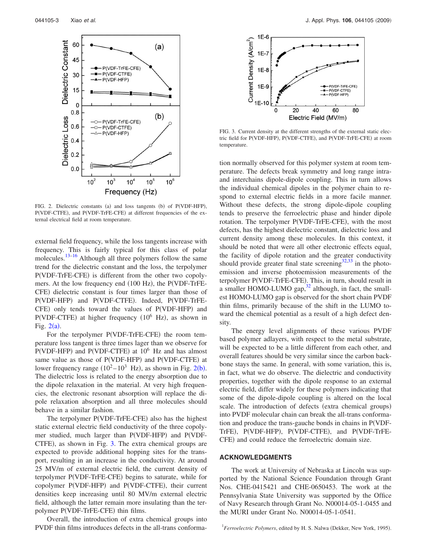<span id="page-3-1"></span>

FIG. 2. Dielectric constants (a) and loss tangents (b) of P(VDF-HFP), P(VDF-CTFE), and P(VDF-TrFE-CFE) at different frequencies of the external electrical field at room temperature.

external field frequency, while the loss tangents increase with frequency. This is fairly typical for this class of polar molecules.<sup>13[–16](#page-4-8)</sup> Although all three polymers follow the same trend for the dielectric constant and the loss, the terpolymer P(VDF-TrFE-CFE) is different from the other two copolymers. At the low frequency end (100 Hz), the P(VDF-TrFE-CFE) dielectric constant is four times larger than those of P(VDF-HFP) and P(VDF-CTFE). Indeed, P(VDF-TrFE-CFE) only tends toward the values of P(VDF-HFP) and  $P(VDF-CTFE)$  at higher frequency  $(10^6$  Hz), as shown in Fig.  $2(a)$  $2(a)$ .

For the terpolymer P(VDF-TrFE-CFE) the room temperature loss tangent is three times lager than we observe for  $P(VDF-HFP)$  and  $P(VDF-CTFE)$  at  $10<sup>6</sup>$  Hz and has almost same value as those of P(VDF-HFP) and P(VDF-CTFE) at lower frequency range  $(10^2 - 10^3$  $(10^2 - 10^3$  $(10^2 - 10^3$  Hz), as shown in Fig.  $2(b)$ . The dielectric loss is related to the energy absorption due to the dipole relaxation in the material. At very high frequencies, the electronic resonant absorption will replace the dipole relaxation absorption and all three molecules should behave in a similar fashion.

The terpolymer P(VDF-TrFE-CFE) also has the highest static external electric field conductivity of the three copolymer studied, much larger than P(VDF-HFP) and P(VDF-CTFE), as shown in Fig. [3.](#page-3-2) The extra chemical groups are expected to provide additional hopping sites for the transport, resulting in an increase in the conductivity. At around 25 MV/m of external electric field, the current density of terpolymer P(VDF-TrFE-CFE) begins to saturate, while for copolymer P(VDF-HFP) and P(VDF-CTFE), their current densities keep increasing until 80 MV/m external electric field, although the latter remain more insulating than the terpolymer P(VDF-TrFE-CFE) thin films.

Overall, the introduction of extra chemical groups into PVDF thin films introduces defects in the all-trans conforma-

<span id="page-3-2"></span>

FIG. 3. Current density at the different strengths of the external static electric field for P(VDF-HFP), P(VDF-CTFE), and P(VDF-TrFE-CFE) at room temperature.

tion normally observed for this polymer system at room temperature. The defects break symmetry and long range intraand interchains dipole-dipole coupling. This in turn allows the individual chemical dipoles in the polymer chain to respond to external electric fields in a more facile manner. Without these defects, the strong dipole-dipole coupling tends to preserve the ferroelectric phase and hinder dipole rotation. The terpolymer P(VDF-TrFE-CFE), with the most defects, has the highest dielectric constant, dielectric loss and current density among these molecules. In this context, it should be noted that were all other electronic effects equal, the facility of dipole rotation and the greater conductivity should provide greater final state screening $32,33$  $32,33$  in the photoemission and inverse photoemission measurements of the terpolymer P(VDF-TrFE-CFE). This, in turn, should result in a smaller HOMO-LUMO gap, $32$  although, in fact, the smallest HOMO-LUMO gap is observed for the short chain PVDF thin films, primarily because of the shift in the LUMO toward the chemical potential as a result of a high defect density.

The energy level alignments of these various PVDF based polymer adlayers, with respect to the metal substrate, will be expected to be a little different from each other, and overall features should be very similar since the carbon backbone stays the same. In general, with some variation, this is, in fact, what we do observe. The dielectric and conductivity properties, together with the dipole response to an external electric field, differ widely for these polymers indicating that some of the dipole-dipole coupling is altered on the local scale. The introduction of defects (extra chemical groups) into PVDF molecular chain can break the all-trans conformation and produce the trans-gauche bonds in chains in PVDF-TrFE), P(VDF-HFP), P(VDF-CTFE), and P(VDF-TrFE-CFE) and could reduce the ferroelectric domain size.

## **ACKNOWLEDGMENTS**

The work at University of Nebraska at Lincoln was supported by the National Science Foundation through Grant Nos. CHE-0415421 and CHE-0650453. The work at the Pennsylvania State University was supported by the Office of Navy Research through Grant No. N00014-05-1-0455 and the MURI under Grant No. N00014-05-1-0541.

<span id="page-3-0"></span><sup>&</sup>lt;sup>1</sup> Ferroelectric Polymers, edited by H. S. Nalwa (Dekker, New York, 1995).